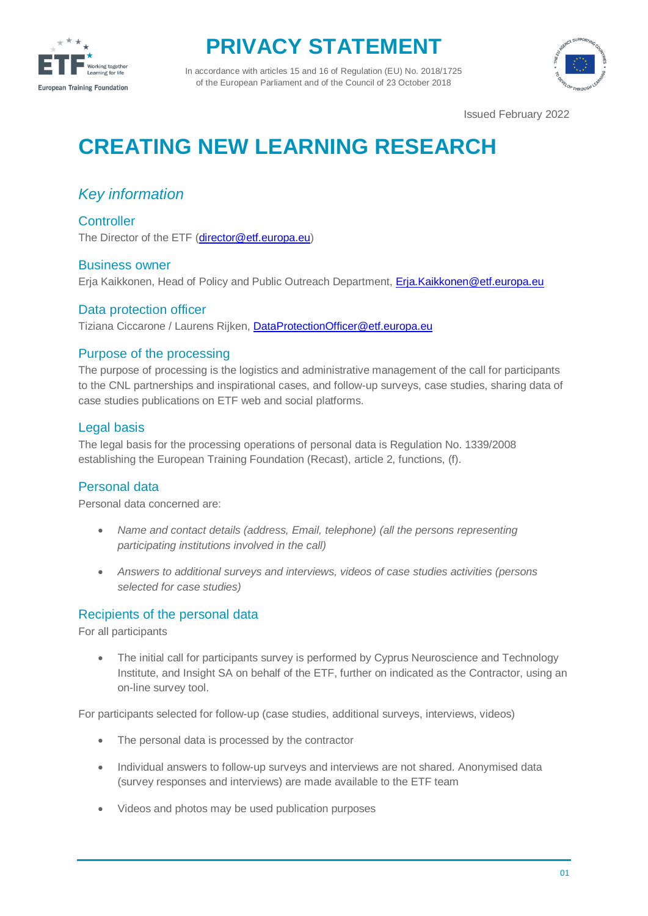

## **PRIVACY STATEMENT**

In accordance with articles 15 and 16 of Regulation (EU) No. 2018/1725 of the European Parliament and of the Council of 23 October 2018



Issued February 2022

# **CREATING NEW LEARNING RESEARCH**

### *Key information*

**Controller** The Director of the ETF [\(director@etf.europa.eu\)](mailto:director@etf.europa.eu)

#### Business owner

Erja Kaikkonen, Head of Policy and Public Outreach Department, [Erja.Kaikkonen@etf.europa.eu](mailto:Erja.Kaikkonen@etf.europa.eu)

#### Data protection officer

Tiziana Ciccarone / Laurens Rijken[, DataProtectionOfficer@etf.europa.eu](mailto:DataProtectionOfficer@etf.europa.eu)

#### Purpose of the processing

The purpose of processing is the logistics and administrative management of the call for participants to the CNL partnerships and inspirational cases, and follow-up surveys, case studies, sharing data of case studies publications on ETF web and social platforms.

#### Legal basis

The legal basis for the processing operations of personal data is Regulation No. 1339/2008 establishing the European Training Foundation (Recast), article 2, functions, (f).

#### Personal data

Personal data concerned are:

- *Name and contact details (address, Email, telephone) (all the persons representing participating institutions involved in the call)*
- *Answers to additional surveys and interviews, videos of case studies activities (persons selected for case studies)*

#### Recipients of the personal data

For all participants

 The initial call for participants survey is performed by Cyprus Neuroscience and Technology Institute, and Insight SA on behalf of the ETF, further on indicated as the Contractor, using an on-line survey tool.

For participants selected for follow-up (case studies, additional surveys, interviews, videos)

- The personal data is processed by the contractor
- Individual answers to follow-up surveys and interviews are not shared. Anonymised data (survey responses and interviews) are made available to the ETF team
- Videos and photos may be used publication purposes